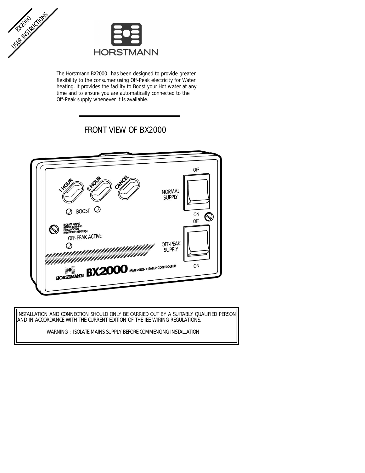



The Horstmann BX2000 has been designed to provide greater flexibility to the consumer using Off-Peak electricity for Water heating. It provides the facility to Boost your Hot water at any time and to ensure you are automatically connected to the Off-Peak supply whenever it is available.

# FRONT VIEW OF BX2000



INSTALLATION AND CONNECTION SHOULD ONLY BE CARRIED OUT BY A SUITABLY QUALIFIED PERSON AND IN ACCORDANCE WITH THE CURRENT EDITION OF THE IEE WIRING REGULATIONS.

WARNING : ISOLATE MAINS SUPPLY BEFORE COMMENCING INSTALLATION